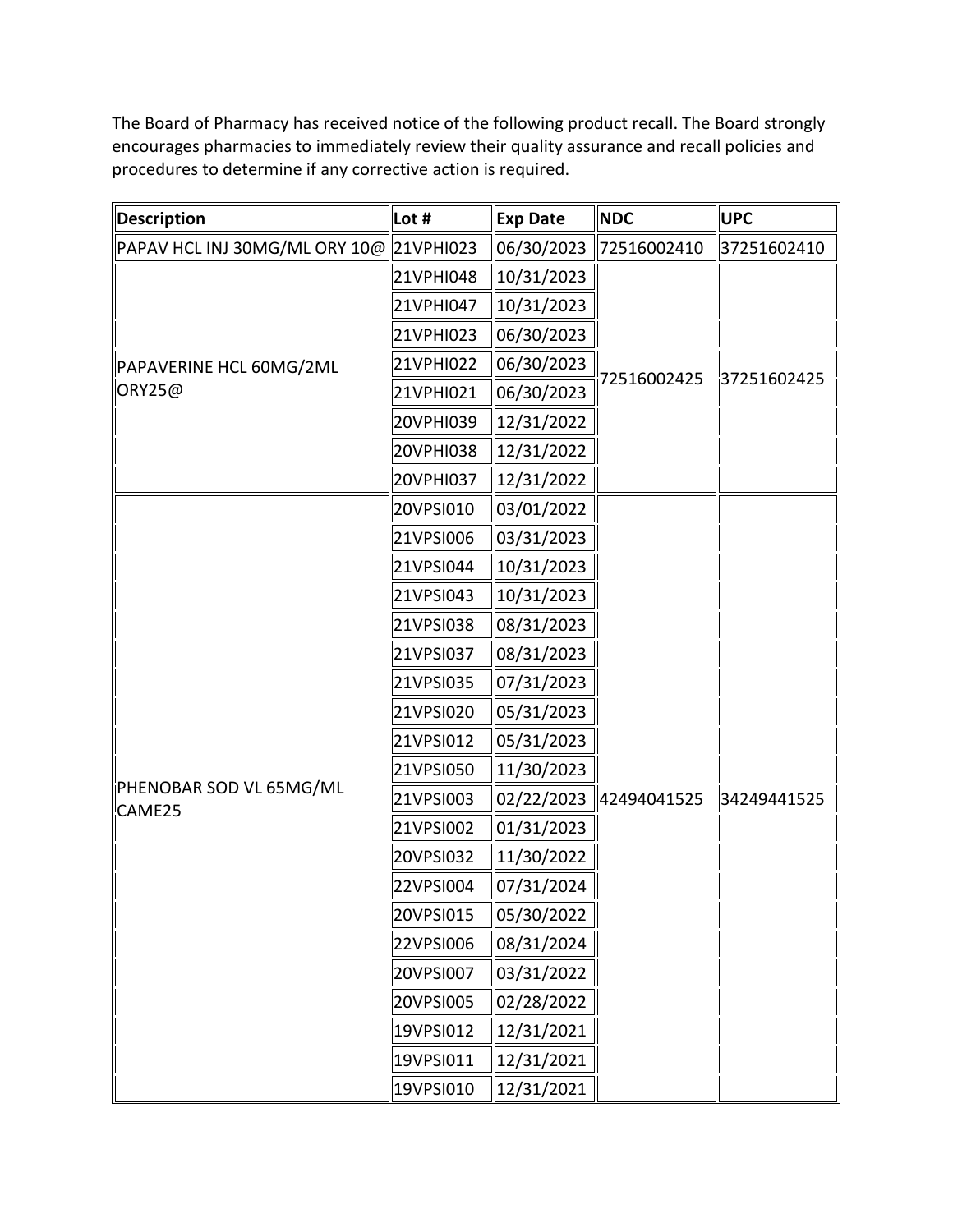The Board of Pharmacy has received notice of the following product recall. The Board strongly encourages pharmacies to immediately review their quality assurance and recall policies and procedures to determine if any corrective action is required.

| <b>Description</b>                      | Lot #     | <b>Exp Date</b> | <b>NDC</b>  | <b>UPC</b>                 |
|-----------------------------------------|-----------|-----------------|-------------|----------------------------|
| PAPAV HCL INJ 30MG/ML ORY 10@ 21VPHI023 |           | 06/30/2023      | 72516002410 | 37251602410                |
| PAPAVERINE HCL 60MG/2ML<br>ORY25@       | 21VPHI048 | 10/31/2023      | 72516002425 | $\frac{1}{11}$ 37251602425 |
|                                         | 21VPHI047 | 10/31/2023      |             |                            |
|                                         | 21VPHI023 | 06/30/2023      |             |                            |
|                                         | 21VPHI022 | 06/30/2023      |             |                            |
|                                         | 21VPHI021 | 06/30/2023      |             |                            |
|                                         | 20VPHI039 | 12/31/2022      |             |                            |
|                                         | 20VPHI038 | 12/31/2022      |             |                            |
|                                         | 20VPHI037 | 12/31/2022      |             |                            |
| PHENOBAR SOD VL 65MG/ML<br>CAME25       | 20VPSI010 | 03/01/2022      | 42494041525 | 34249441525                |
|                                         | 21VPSI006 | 03/31/2023      |             |                            |
|                                         | 21VPSI044 | 10/31/2023      |             |                            |
|                                         | 21VPSI043 | 10/31/2023      |             |                            |
|                                         | 21VPSI038 | 08/31/2023      |             |                            |
|                                         | 21VPSI037 | 08/31/2023      |             |                            |
|                                         | 21VPSI035 | 07/31/2023      |             |                            |
|                                         | 21VPSI020 | 05/31/2023      |             |                            |
|                                         | 21VPSI012 | 05/31/2023      |             |                            |
|                                         | 21VPSI050 | 11/30/2023      |             |                            |
|                                         | 21VPSI003 | 02/22/2023      |             |                            |
|                                         | 21VPSI002 | 01/31/2023      |             |                            |
|                                         | 20VPSI032 | 11/30/2022      |             |                            |
|                                         | 22VPSI004 | 07/31/2024      |             |                            |
|                                         | 20VPSI015 | 05/30/2022      |             |                            |
|                                         | 22VPSI006 | 08/31/2024      |             |                            |
|                                         | 20VPSI007 | 03/31/2022      |             |                            |
|                                         | 20VPSI005 | 02/28/2022      |             |                            |
|                                         | 19VPSI012 | 12/31/2021      |             |                            |
|                                         | 19VPSI011 | 12/31/2021      |             |                            |
|                                         | 19VPSI010 | 12/31/2021      |             |                            |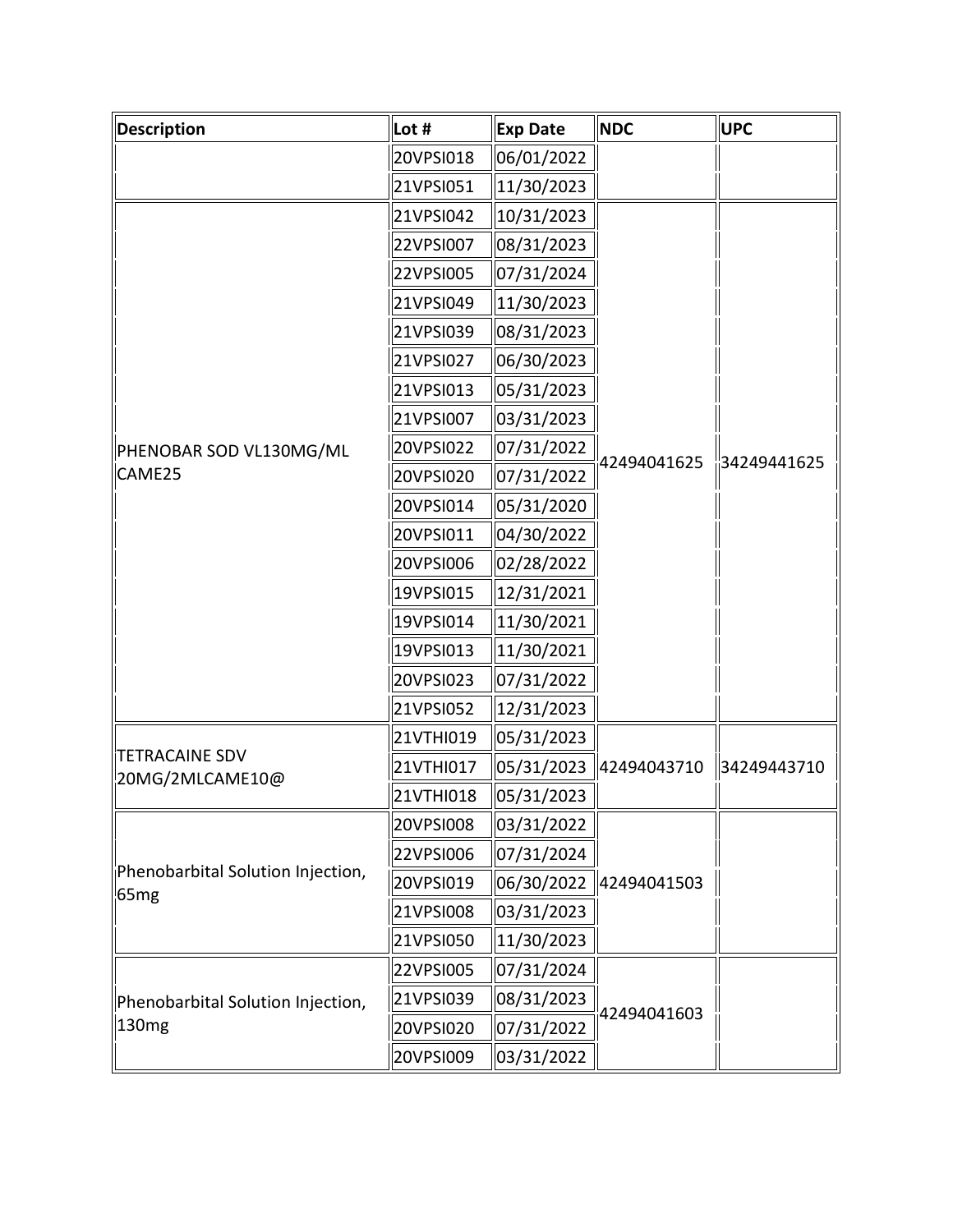| Description                                            | Lot #     | Exp Date   | <b>NDC</b>  | <b>UPC</b>  |
|--------------------------------------------------------|-----------|------------|-------------|-------------|
|                                                        | 20VPSI018 | 06/01/2022 |             |             |
|                                                        | 21VPSI051 | 11/30/2023 |             |             |
| PHENOBAR SOD VL130MG/ML<br>CAME25                      | 21VPSI042 | 10/31/2023 | 42494041625 | 34249441625 |
|                                                        | 22VPSI007 | 08/31/2023 |             |             |
|                                                        | 22VPSI005 | 07/31/2024 |             |             |
|                                                        | 21VPSI049 | 11/30/2023 |             |             |
|                                                        | 21VPSI039 | 08/31/2023 |             |             |
|                                                        | 21VPSI027 | 06/30/2023 |             |             |
|                                                        | 21VPSI013 | 05/31/2023 |             |             |
|                                                        | 21VPSI007 | 03/31/2023 |             |             |
|                                                        | 20VPSI022 | 07/31/2022 |             |             |
|                                                        | 20VPSI020 | 07/31/2022 |             |             |
|                                                        | 20VPSI014 | 05/31/2020 |             |             |
|                                                        | 20VPSI011 | 04/30/2022 |             |             |
|                                                        | 20VPSI006 | 02/28/2022 |             |             |
|                                                        | 19VPSI015 | 12/31/2021 |             |             |
|                                                        | 19VPSI014 | 11/30/2021 |             |             |
|                                                        | 19VPSI013 | 11/30/2021 |             |             |
|                                                        | 20VPSI023 | 07/31/2022 |             |             |
|                                                        | 21VPSI052 | 12/31/2023 |             |             |
| TETRACAINE SDV<br>20MG/2MLCAME10@                      | 21VTHI019 | 05/31/2023 | 42494043710 | 34249443710 |
|                                                        | 21VTHI017 | 05/31/2023 |             |             |
|                                                        | 21VTHI018 | 05/31/2023 |             |             |
| Phenobarbital Solution Injection,<br>65 <sub>mg</sub>  | 20VPSI008 | 03/31/2022 | 42494041503 |             |
|                                                        | 22VPSI006 | 07/31/2024 |             |             |
|                                                        | 20VPSI019 | 06/30/2022 |             |             |
|                                                        | 21VPSI008 | 03/31/2023 |             |             |
|                                                        | 21VPSI050 | 11/30/2023 |             |             |
| Phenobarbital Solution Injection,<br>130 <sub>mg</sub> | 22VPSI005 | 07/31/2024 | 42494041603 |             |
|                                                        | 21VPSI039 | 08/31/2023 |             |             |
|                                                        | 20VPSI020 | 07/31/2022 |             |             |
|                                                        | 20VPSI009 | 03/31/2022 |             |             |